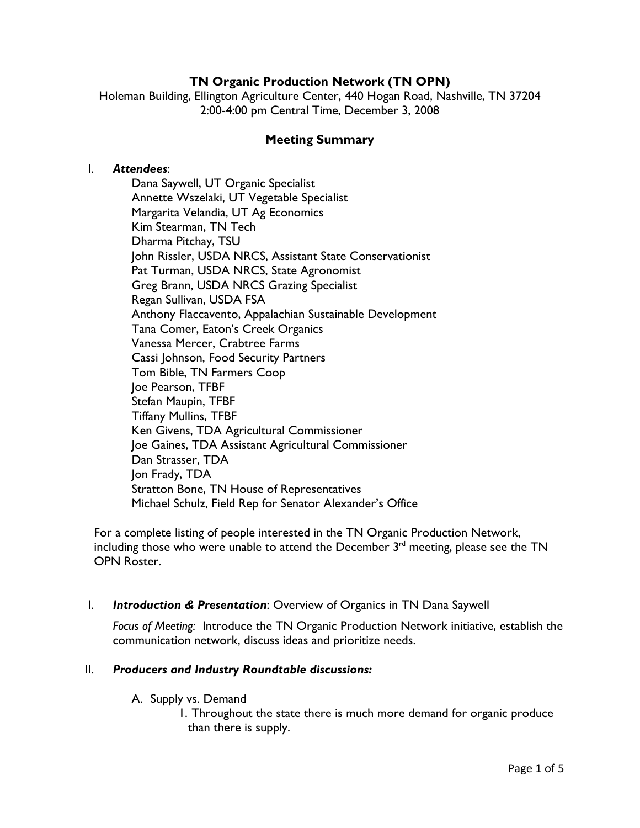# **TN Organic Production Network (TN OPN)**

Holeman Building, Ellington Agriculture Center, 440 Hogan Road, Nashville, TN 37204 2:00-4:00 pm Central Time, December 3, 2008

### **Meeting Summary**

#### I. *Attendees*:

Dana Saywell, UT Organic Specialist Annette Wszelaki, UT Vegetable Specialist Margarita Velandia, UT Ag Economics Kim Stearman, TN Tech Dharma Pitchay, TSU John Rissler, USDA NRCS, Assistant State Conservationist Pat Turman, USDA NRCS, State Agronomist Greg Brann, USDA NRCS Grazing Specialist Regan Sullivan, USDA FSA Anthony Flaccavento, Appalachian Sustainable Development Tana Comer, Eaton's Creek Organics Vanessa Mercer, Crabtree Farms Cassi Johnson, Food Security Partners Tom Bible, TN Farmers Coop Joe Pearson, TFBF Stefan Maupin, TFBF Tiffany Mullins, TFBF Ken Givens, TDA Agricultural Commissioner Joe Gaines, TDA Assistant Agricultural Commissioner Dan Strasser, TDA Jon Frady, TDA Stratton Bone, TN House of Representatives Michael Schulz, Field Rep for Senator Alexander's Office

For a complete listing of people interested in the TN Organic Production Network, including those who were unable to attend the December  $3<sup>rd</sup>$  meeting, please see the TN OPN Roster.

### I. *Introduction & Presentation*: Overview of Organics in TN Dana Saywell

*Focus of Meeting:* Introduce the TN Organic Production Network initiative, establish the communication network, discuss ideas and prioritize needs.

### II. *Producers and Industry Roundtable discussions:*

### A. Supply vs. Demand

1. Throughout the state there is much more demand for organic produce than there is supply.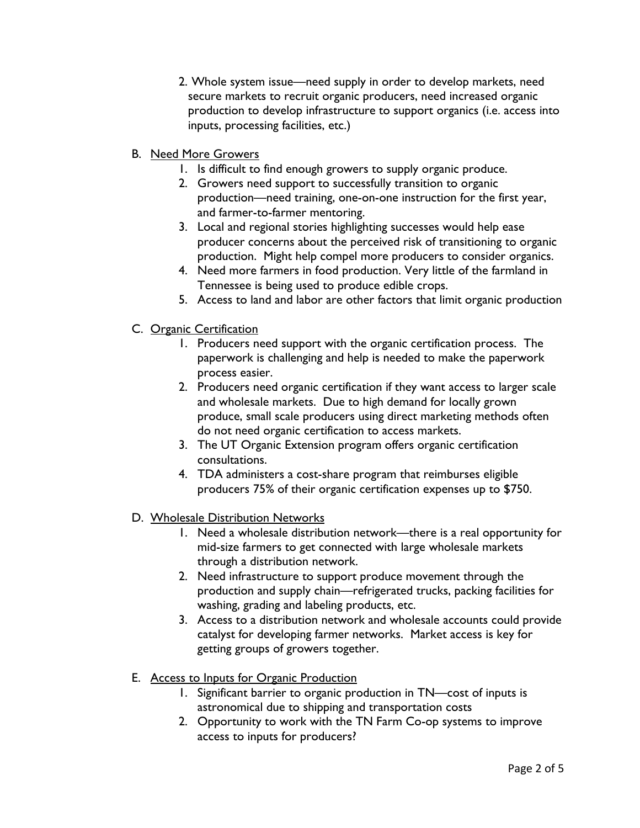- 2. Whole system issue—need supply in order to develop markets, need secure markets to recruit organic producers, need increased organic production to develop infrastructure to support organics (i.e. access into inputs, processing facilities, etc.)
- B. Need More Growers
	- 1. Is difficult to find enough growers to supply organic produce.
	- 2. Growers need support to successfully transition to organic production—need training, one-on-one instruction for the first year, and farmer-to-farmer mentoring.
	- 3. Local and regional stories highlighting successes would help ease producer concerns about the perceived risk of transitioning to organic production. Might help compel more producers to consider organics.
	- 4. Need more farmers in food production. Very little of the farmland in Tennessee is being used to produce edible crops.
	- 5. Access to land and labor are other factors that limit organic production
- C. Organic Certification
	- 1. Producers need support with the organic certification process. The paperwork is challenging and help is needed to make the paperwork process easier.
	- 2. Producers need organic certification if they want access to larger scale and wholesale markets. Due to high demand for locally grown produce, small scale producers using direct marketing methods often do not need organic certification to access markets.
	- 3. The UT Organic Extension program offers organic certification consultations.
	- 4. TDA administers a cost-share program that reimburses eligible producers 75% of their organic certification expenses up to \$750.
- D. Wholesale Distribution Networks
	- 1. Need a wholesale distribution network—there is a real opportunity for mid-size farmers to get connected with large wholesale markets through a distribution network.
	- 2. Need infrastructure to support produce movement through the production and supply chain—refrigerated trucks, packing facilities for washing, grading and labeling products, etc.
	- 3. Access to a distribution network and wholesale accounts could provide catalyst for developing farmer networks. Market access is key for getting groups of growers together.
- E. Access to Inputs for Organic Production
	- 1. Significant barrier to organic production in TN—cost of inputs is astronomical due to shipping and transportation costs
	- 2. Opportunity to work with the TN Farm Co-op systems to improve access to inputs for producers?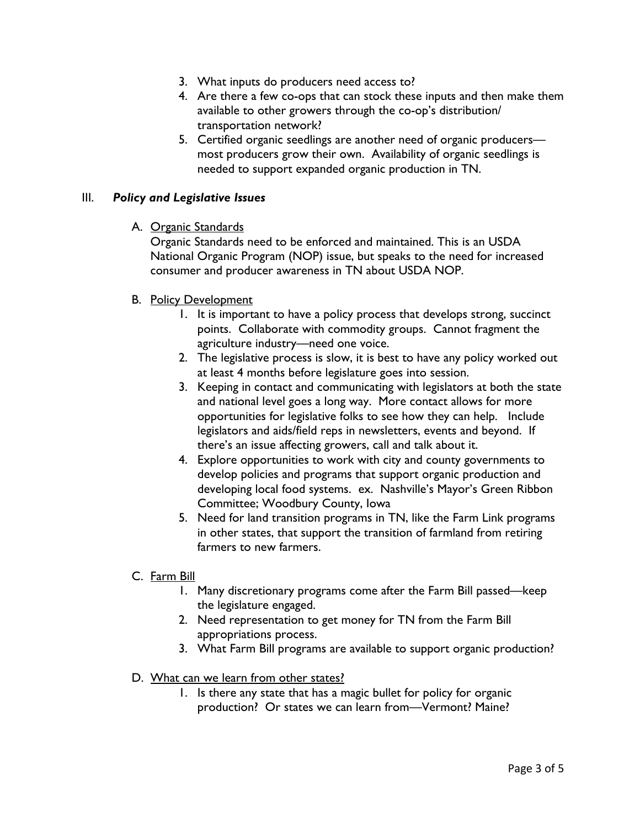- 3. What inputs do producers need access to?
- 4. Are there a few co-ops that can stock these inputs and then make them available to other growers through the co-op's distribution/ transportation network?
- 5. Certified organic seedlings are another need of organic producers most producers grow their own. Availability of organic seedlings is needed to support expanded organic production in TN.

### III. *Policy and Legislative Issues*

A. Organic Standards

Organic Standards need to be enforced and maintained. This is an USDA National Organic Program (NOP) issue, but speaks to the need for increased consumer and producer awareness in TN about USDA NOP.

- B. Policy Development
	- 1. It is important to have a policy process that develops strong, succinct points. Collaborate with commodity groups. Cannot fragment the agriculture industry—need one voice.
	- 2. The legislative process is slow, it is best to have any policy worked out at least 4 months before legislature goes into session.
	- 3. Keeping in contact and communicating with legislators at both the state and national level goes a long way. More contact allows for more opportunities for legislative folks to see how they can help. Include legislators and aids/field reps in newsletters, events and beyond. If there's an issue affecting growers, call and talk about it.
	- 4. Explore opportunities to work with city and county governments to develop policies and programs that support organic production and developing local food systems. ex. Nashville's Mayor's Green Ribbon Committee; Woodbury County, Iowa
	- 5. Need for land transition programs in TN, like the Farm Link programs in other states, that support the transition of farmland from retiring farmers to new farmers.
- C. Farm Bill
	- 1. Many discretionary programs come after the Farm Bill passed—keep the legislature engaged.
	- 2. Need representation to get money for TN from the Farm Bill appropriations process.
	- 3. What Farm Bill programs are available to support organic production?
- D. What can we learn from other states?
	- 1. Is there any state that has a magic bullet for policy for organic production? Or states we can learn from—Vermont? Maine?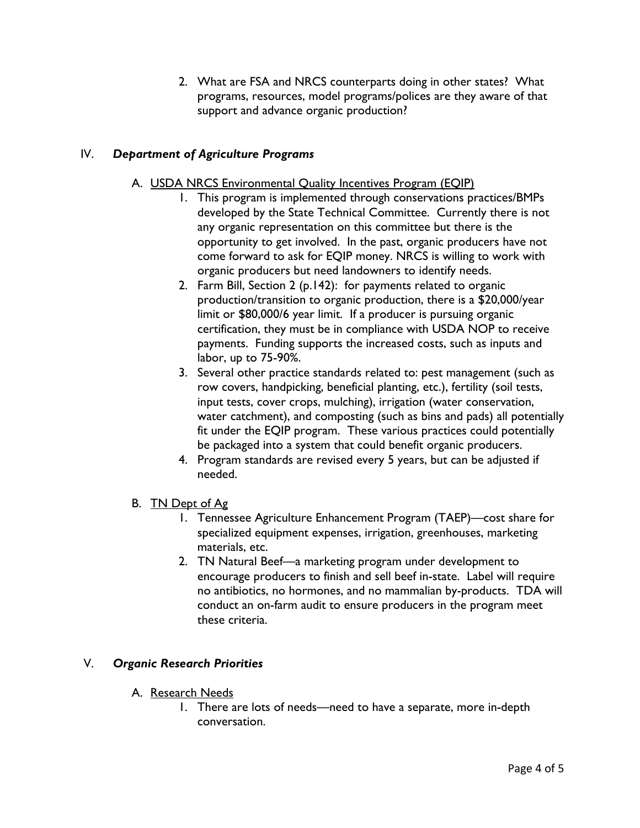2. What are FSA and NRCS counterparts doing in other states? What programs, resources, model programs/polices are they aware of that support and advance organic production?

# IV. *Department of Agriculture Programs*

- A. USDA NRCS Environmental Quality Incentives Program (EQIP)
	- 1. This program is implemented through conservations practices/BMPs developed by the State Technical Committee. Currently there is not any organic representation on this committee but there is the opportunity to get involved. In the past, organic producers have not come forward to ask for EQIP money. NRCS is willing to work with organic producers but need landowners to identify needs.
	- 2. Farm Bill, Section 2 (p.142): for payments related to organic production/transition to organic production, there is a \$20,000/year limit or \$80,000/6 year limit. If a producer is pursuing organic certification, they must be in compliance with USDA NOP to receive payments. Funding supports the increased costs, such as inputs and labor, up to 75-90%.
	- 3. Several other practice standards related to: pest management (such as row covers, handpicking, beneficial planting, etc.), fertility (soil tests, input tests, cover crops, mulching), irrigation (water conservation, water catchment), and composting (such as bins and pads) all potentially fit under the EQIP program. These various practices could potentially be packaged into a system that could benefit organic producers.
	- 4. Program standards are revised every 5 years, but can be adjusted if needed.
- B. TN Dept of Ag
	- 1. Tennessee Agriculture Enhancement Program (TAEP)—cost share for specialized equipment expenses, irrigation, greenhouses, marketing materials, etc.
	- 2. TN Natural Beef—a marketing program under development to encourage producers to finish and sell beef in-state. Label will require no antibiotics, no hormones, and no mammalian by-products. TDA will conduct an on-farm audit to ensure producers in the program meet these criteria.

## V. *Organic Research Priorities*

- A. Research Needs
	- 1. There are lots of needs—need to have a separate, more in-depth conversation.